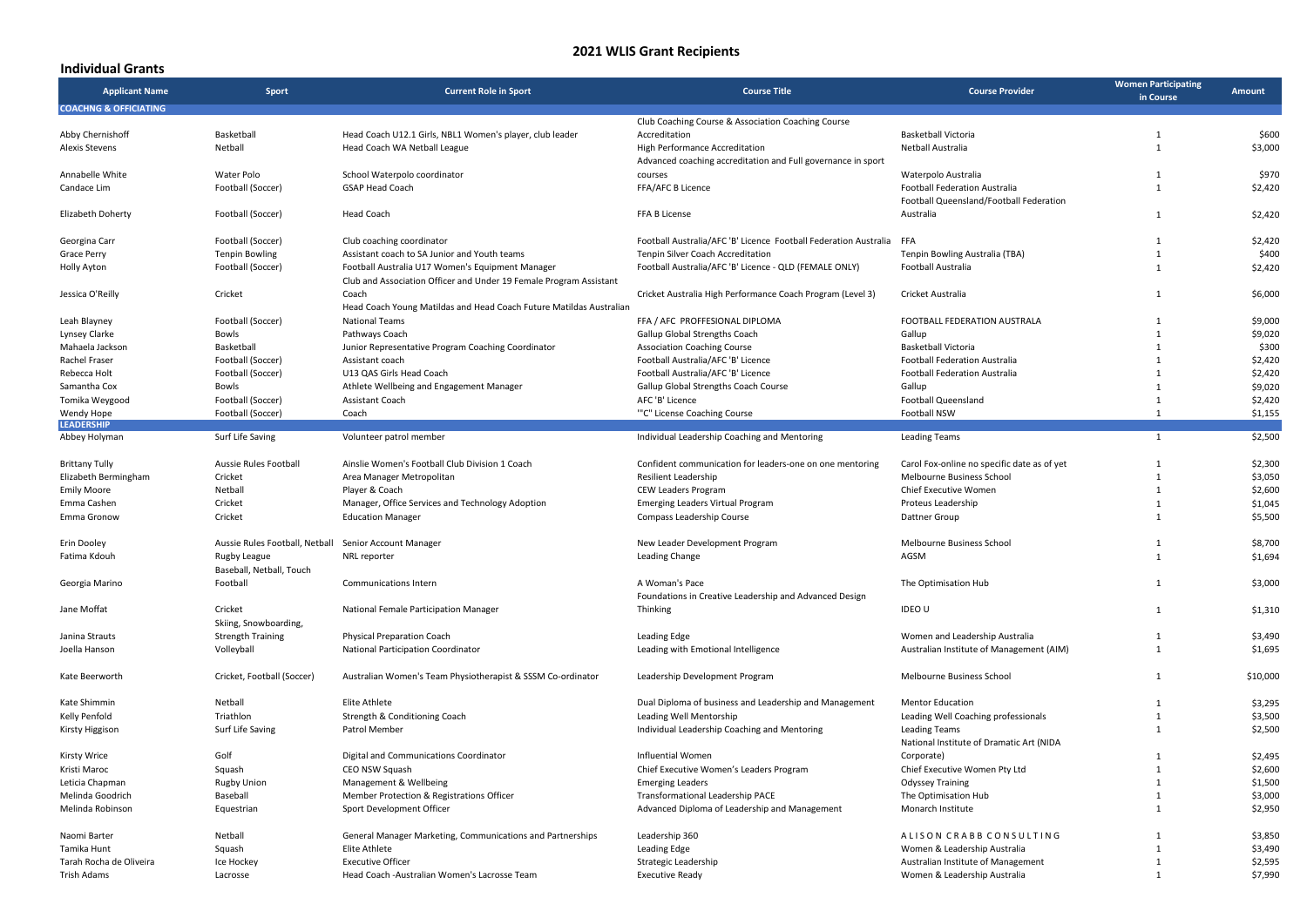## **2021 WLIS Grant Recipients**

## **Individual Grants**

| <b>Applicant Name</b>            | Sport                                    | <b>Current Role in Sport</b>                                                                                           | <b>Course Title</b>                                                                            | <b>Course Provider</b>                                           | <b>Women Participating</b><br>in Course | Amount   |
|----------------------------------|------------------------------------------|------------------------------------------------------------------------------------------------------------------------|------------------------------------------------------------------------------------------------|------------------------------------------------------------------|-----------------------------------------|----------|
| <b>COACHNG &amp; OFFICIATING</b> |                                          |                                                                                                                        | Club Coaching Course & Association Coaching Course                                             |                                                                  |                                         |          |
| Abby Chernishoff                 | Basketball                               | Head Coach U12.1 Girls, NBL1 Women's player, club leader                                                               | Accreditation                                                                                  | <b>Basketball Victoria</b>                                       | $\mathbf{1}$                            | \$600    |
| <b>Alexis Stevens</b>            | Netball                                  | Head Coach WA Netball League                                                                                           | High Performance Accreditation<br>Advanced coaching accreditation and Full governance in sport | Netball Australia                                                | $\mathbf{1}$                            | \$3,000  |
| Annabelle White                  | Water Polo                               | School Waterpolo coordinator                                                                                           | courses                                                                                        | Waterpolo Australia                                              | $\mathbf{1}$                            | \$970    |
| Candace Lim                      | Football (Soccer)                        | <b>GSAP Head Coach</b>                                                                                                 | FFA/AFC B Licence                                                                              | <b>Football Federation Australia</b>                             | $\mathbf{1}$                            | \$2,420  |
|                                  |                                          |                                                                                                                        |                                                                                                | Football Queensland/Football Federation                          |                                         |          |
| Elizabeth Doherty                | Football (Soccer)                        | <b>Head Coach</b>                                                                                                      | FFA B License                                                                                  | Australia                                                        | $\mathbf{1}$                            | \$2,420  |
| Georgina Carr                    | Football (Soccer)                        | Club coaching coordinator                                                                                              | Football Australia/AFC 'B' Licence Football Federation Australia                               | FFA                                                              | $\mathbf{1}$                            | \$2,420  |
| Grace Perry                      | <b>Tenpin Bowling</b>                    | Assistant coach to SA Junior and Youth teams                                                                           | <b>Tenpin Silver Coach Accreditation</b>                                                       | Tenpin Bowling Australia (TBA)                                   | $\mathbf{1}$                            | \$400    |
| Holly Ayton                      | Football (Soccer)                        | Football Australia U17 Women's Equipment Manager<br>Club and Association Officer and Under 19 Female Program Assistant | Football Australia/AFC 'B' Licence - QLD (FEMALE ONLY)                                         | Football Australia                                               | $\mathbf{1}$                            | \$2,420  |
| Jessica O'Reilly                 | Cricket                                  | Coach<br>Head Coach Young Matildas and Head Coach Future Matildas Australian                                           | Cricket Australia High Performance Coach Program (Level 3)                                     | Cricket Australia                                                | $\mathbf{1}$                            | \$6,000  |
| Leah Blayney                     | Football (Soccer)                        | <b>National Teams</b>                                                                                                  | FFA / AFC PROFFESIONAL DIPLOMA                                                                 | FOOTBALL FEDERATION AUSTRALA                                     | $\mathbf{1}$                            | \$9,000  |
| Lynsey Clarke                    | Bowls                                    | Pathways Coach                                                                                                         | Gallup Global Strengths Coach                                                                  | Gallup                                                           | $\mathbf{1}$                            | \$9,020  |
| Mahaela Jackson                  | Basketball                               | Junior Representative Program Coaching Coordinator                                                                     | <b>Association Coaching Course</b>                                                             | Basketball Victoria                                              | $\mathbf{1}$                            | \$300    |
| Rachel Fraser                    | Football (Soccer)                        | Assistant coach                                                                                                        | Football Australia/AFC 'B' Licence                                                             | <b>Football Federation Australia</b>                             | $\mathbf{1}$                            | \$2,420  |
|                                  |                                          |                                                                                                                        | Football Australia/AFC 'B' Licence                                                             | <b>Football Federation Australia</b>                             | $\mathbf{1}$                            | \$2,420  |
| Rebecca Holt                     | Football (Soccer)                        | U13 QAS Girls Head Coach                                                                                               |                                                                                                |                                                                  |                                         |          |
| Samantha Cox                     | Bowls                                    | Athlete Wellbeing and Engagement Manager                                                                               | Gallup Global Strengths Coach Course                                                           | Gallup                                                           | $\mathbf{1}$                            | \$9,020  |
| Tomika Weygood                   | Football (Soccer)                        | Assistant Coach                                                                                                        | AFC 'B' Licence                                                                                | Football Queensland                                              | $\mathbf{1}$                            | \$2,420  |
| Wendy Hope<br><b>LEADERSHIP</b>  | Football (Soccer)                        | Coach                                                                                                                  | "'C" License Coaching Course                                                                   | Football NSW                                                     | 1                                       | \$1,155  |
| Abbey Holyman                    | Surf Life Saving                         | Volunteer patrol member                                                                                                | Individual Leadership Coaching and Mentoring                                                   | <b>Leading Teams</b>                                             | $\mathbf{1}$                            | \$2,500  |
|                                  |                                          |                                                                                                                        |                                                                                                |                                                                  |                                         |          |
| <b>Brittany Tully</b>            | Aussie Rules Football                    | Ainslie Women's Football Club Division 1 Coach                                                                         | Confident communication for leaders-one on one mentoring                                       | Carol Fox-online no specific date as of yet                      | $\mathbf{1}$                            | \$2,300  |
| Elizabeth Bermingham             | Cricket                                  | Area Manager Metropolitan                                                                                              | Resilient Leadership                                                                           | Melbourne Business School                                        | $\mathbf{1}$                            | \$3,050  |
| <b>Emily Moore</b>               | Netball                                  | Player & Coach                                                                                                         | CEW Leaders Program                                                                            | Chief Executive Women                                            | $\mathbf{1}$                            | \$2,600  |
| Emma Cashen                      | Cricket                                  | Manager, Office Services and Technology Adoption                                                                       | <b>Emerging Leaders Virtual Program</b>                                                        | Proteus Leadership                                               | $\mathbf{1}$                            | \$1,045  |
| Emma Gronow                      | Cricket                                  | <b>Education Manager</b>                                                                                               | Compass Leadership Course                                                                      | Dattner Group                                                    | $\mathbf{1}$                            | \$5,500  |
|                                  |                                          |                                                                                                                        |                                                                                                |                                                                  |                                         |          |
| Erin Dooley                      | Aussie Rules Football, Netball           | Senior Account Manager                                                                                                 | New Leader Development Program                                                                 | Melbourne Business School                                        | $\mathbf{1}$                            | \$8,700  |
| Fatima Kdouh                     | Rugby League<br>Baseball, Netball, Touch | NRL reporter                                                                                                           | Leading Change                                                                                 | AGSM                                                             | $\mathbf{1}$                            | \$1,694  |
| Georgia Marino                   | Football                                 | Communications Intern                                                                                                  | A Woman's Pace                                                                                 | The Optimisation Hub                                             | $\mathbf{1}$                            | \$3,000  |
|                                  |                                          |                                                                                                                        | Foundations in Creative Leadership and Advanced Design                                         |                                                                  |                                         |          |
| Jane Moffat                      | Cricket<br>Skiing, Snowboarding,         | National Female Participation Manager                                                                                  | Thinking                                                                                       | <b>IDEO U</b>                                                    | $\mathbf{1}$                            | \$1,310  |
| Janina Strauts                   | <b>Strength Training</b>                 | <b>Physical Preparation Coach</b>                                                                                      | <b>Leading Edge</b>                                                                            | Women and Leadership Australia                                   | $\mathbf{1}$                            | \$3,490  |
| Joella Hanson                    | Volleyball                               | National Participation Coordinator                                                                                     | Leading with Emotional Intelligence                                                            | Australian Institute of Management (AIM)                         | $\mathbf{1}$                            | \$1,695  |
| Kate Beerworth                   | Cricket, Football (Soccer)               | Australian Women's Team Physiotherapist & SSSM Co-ordinator                                                            | Leadership Development Program                                                                 | Melbourne Business School                                        | $\mathbf{1}$                            | \$10,000 |
|                                  |                                          |                                                                                                                        |                                                                                                |                                                                  |                                         |          |
| Kate Shimmin                     | Netball                                  | Elite Athlete                                                                                                          | Dual Diploma of business and Leadership and Management                                         | <b>Mentor Education</b>                                          | $\mathbf{1}$                            | \$3,295  |
| Kelly Penfold                    | Triathlon                                | Strength & Conditioning Coach                                                                                          | Leading Well Mentorship                                                                        | Leading Well Coaching professionals                              | $\mathbf{1}$                            | \$3,500  |
| Kirsty Higgison                  | Surf Life Saving                         | Patrol Member                                                                                                          | Individual Leadership Coaching and Mentoring                                                   | <b>Leading Teams</b><br>National Institute of Dramatic Art (NIDA | $\mathbf{1}$                            | \$2,500  |
| <b>Kirsty Wrice</b>              | Golf                                     | Digital and Communications Coordinator                                                                                 | Influential Women                                                                              | Corporate)                                                       | $\mathbf{1}$                            | \$2,495  |
| Kristi Maroc                     | Squash                                   | CEO NSW Squash                                                                                                         | Chief Executive Women's Leaders Program                                                        | Chief Executive Women Pty Ltd                                    | $\mathbf{1}$                            | \$2,600  |
| Leticia Chapman                  | <b>Rugby Union</b>                       | Management & Wellbeing                                                                                                 | <b>Emerging Leaders</b>                                                                        | <b>Odyssey Training</b>                                          | $\mathbf{1}$                            | \$1,500  |
| Melinda Goodrich                 | Baseball                                 | Member Protection & Registrations Officer                                                                              | Transformational Leadership PACE                                                               | The Optimisation Hub                                             | $\mathbf{1}$                            | \$3,000  |
| Melinda Robinson                 | Equestrian                               | Sport Development Officer                                                                                              | Advanced Diploma of Leadership and Management                                                  | Monarch Institute                                                | $\mathbf{1}$                            | \$2,950  |
| Naomi Barter                     | Netball                                  | General Manager Marketing, Communications and Partnerships                                                             | Leadership 360                                                                                 | ALISON CRABB CONSULTING                                          | $\mathbf{1}$                            | \$3,850  |
| Tamika Hunt                      | Squash                                   | Elite Athlete                                                                                                          | <b>Leading Edge</b>                                                                            | Women & Leadership Australia                                     | $\mathbf{1}$                            | \$3,490  |
| Tarah Rocha de Oliveira          | Ice Hockey                               | <b>Executive Officer</b>                                                                                               | Strategic Leadership                                                                           | Australian Institute of Management                               | $\mathbf{1}$                            | \$2,595  |
| Trish Adams                      | Lacrosse                                 | Head Coach -Australian Women's Lacrosse Team                                                                           | <b>Executive Ready</b>                                                                         | Women & Leadership Australia                                     | $\mathbf{1}$                            | \$7,990  |
|                                  |                                          |                                                                                                                        |                                                                                                |                                                                  |                                         |          |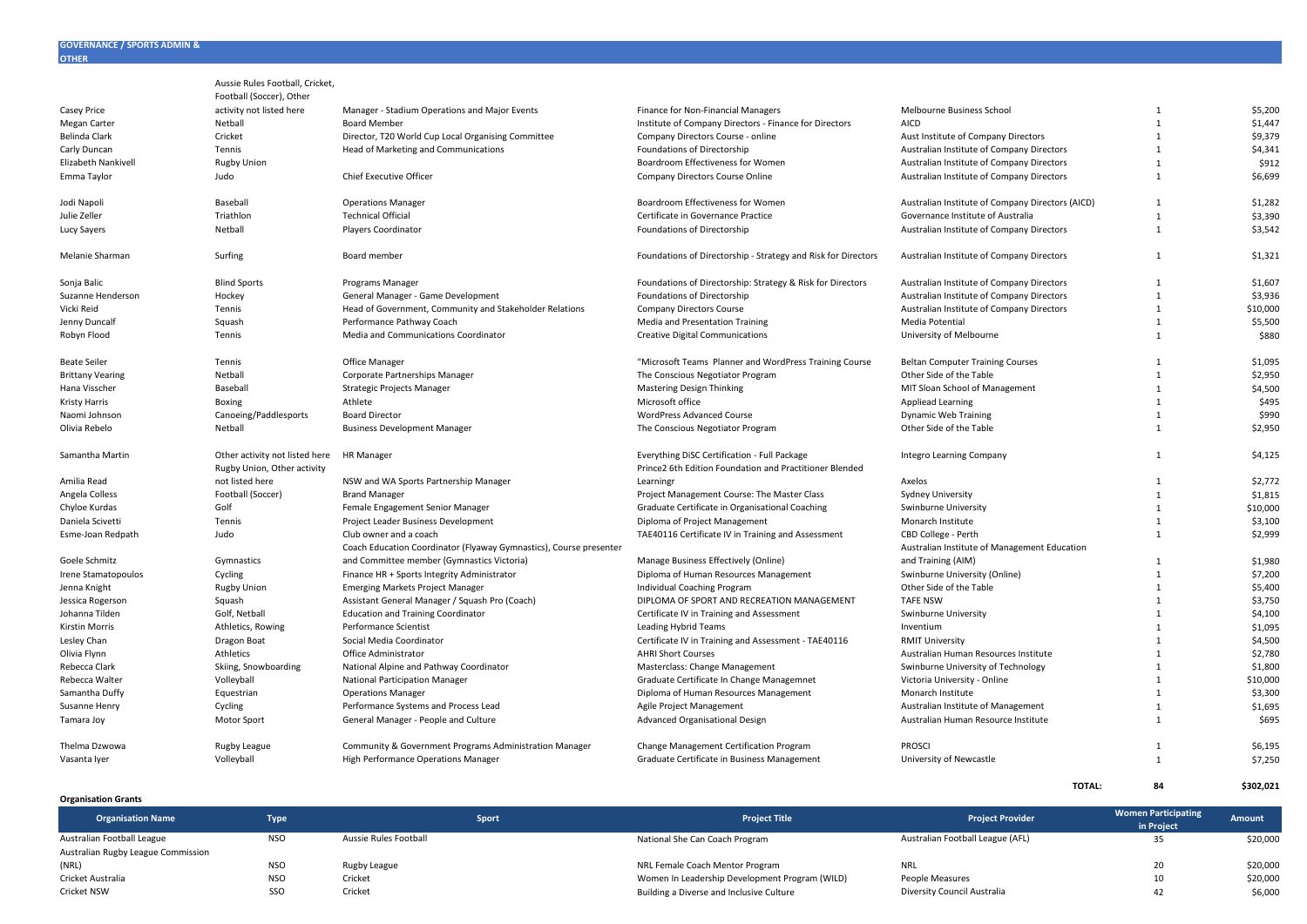|                         | Aussie Rules Football, Cricket, |                                                                    |                                                               |                                                  |                |          |
|-------------------------|---------------------------------|--------------------------------------------------------------------|---------------------------------------------------------------|--------------------------------------------------|----------------|----------|
|                         | Football (Soccer), Other        |                                                                    |                                                               |                                                  |                |          |
| Casey Price             | activity not listed here        | Manager - Stadium Operations and Major Events                      | Finance for Non-Financial Managers                            | Melbourne Business School                        | 1              | \$5,200  |
| Megan Carter            | Netball                         | <b>Board Member</b>                                                | Institute of Company Directors - Finance for Directors        | <b>AICD</b>                                      | $\overline{1}$ | \$1,447  |
| Belinda Clark           | Cricket                         | Director, T20 World Cup Local Organising Committee                 | Company Directors Course - online                             | Aust Institute of Company Directors              | $\overline{1}$ | \$9,379  |
| Carly Duncan            | Tennis                          | Head of Marketing and Communications                               | Foundations of Directorship                                   | Australian Institute of Company Directors        | $\overline{1}$ | \$4,341  |
| Elizabeth Nankivell     | <b>Rugby Union</b>              |                                                                    | Boardroom Effectiveness for Women                             | Australian Institute of Company Directors        | $\mathbf{1}$   | \$912    |
| Emma Taylor             | Judo                            | Chief Executive Officer                                            | Company Directors Course Online                               | Australian Institute of Company Directors        | $\mathbf{1}$   | \$6,699  |
| Jodi Napoli             | Baseball                        | <b>Operations Manager</b>                                          | Boardroom Effectiveness for Women                             | Australian Institute of Company Directors (AICD) | 1              | \$1,282  |
| Julie Zeller            | Triathlon                       | <b>Technical Official</b>                                          | Certificate in Governance Practice                            | Governance Institute of Australia                | $\mathbf{1}$   | \$3,390  |
| Lucy Sayers             | Netball                         | Players Coordinator                                                | Foundations of Directorship                                   | Australian Institute of Company Directors        | $\mathbf{1}$   | \$3,542  |
| Melanie Sharman         | Surfing                         | Board member                                                       | Foundations of Directorship - Strategy and Risk for Directors | Australian Institute of Company Directors        | $\mathbf{1}$   | \$1,321  |
| Sonja Balic             | <b>Blind Sports</b>             | Programs Manager                                                   | Foundations of Directorship: Strategy & Risk for Directors    | Australian Institute of Company Directors        | 1              | \$1,607  |
| Suzanne Henderson       | Hockey                          | General Manager - Game Development                                 | Foundations of Directorship                                   | Australian Institute of Company Directors        | $\mathbf{1}$   | \$3,936  |
| Vicki Reid              | Tennis                          | Head of Government, Community and Stakeholder Relations            | <b>Company Directors Course</b>                               | Australian Institute of Company Directors        | $\mathbf{1}$   | \$10,000 |
| Jenny Duncalf           | Squash                          | Performance Pathway Coach                                          | Media and Presentation Training                               | Media Potential                                  | $\mathbf{1}$   | \$5,500  |
| Robyn Flood             | Tennis                          | Media and Communications Coordinator                               | <b>Creative Digital Communications</b>                        | University of Melbourne                          | $\mathbf{1}$   | \$880    |
|                         |                                 |                                                                    |                                                               |                                                  |                |          |
| <b>Beate Seiler</b>     | Tennis                          | Office Manager                                                     | "Microsoft Teams Planner and WordPress Training Course        | <b>Beltan Computer Training Courses</b>          | $\overline{1}$ | \$1,095  |
| <b>Brittany Vearing</b> | Netball                         | Corporate Partnerships Manager                                     | The Conscious Negotiator Program                              | Other Side of the Table                          | $\overline{1}$ | \$2,950  |
| Hana Visscher           | Baseball                        | <b>Strategic Projects Manager</b>                                  | <b>Mastering Design Thinking</b>                              | MIT Sloan School of Management                   | $\mathbf{1}$   | \$4,500  |
| Kristy Harris           | Boxing                          | Athlete                                                            | Microsoft office                                              | Appliead Learning                                | $\mathbf{1}$   | \$495    |
| Naomi Johnson           | Canoeing/Paddlesports           | <b>Board Director</b>                                              | WordPress Advanced Course                                     | <b>Dynamic Web Training</b>                      | 1              | \$990    |
| Olivia Rebelo           | Netball                         | <b>Business Development Manager</b>                                | The Conscious Negotiator Program                              | Other Side of the Table                          | $\mathbf{1}$   | \$2,950  |
| Samantha Martin         | Other activity not listed here  | <b>HR Manager</b>                                                  | Everything DiSC Certification - Full Package                  | Integro Learning Company                         | $\mathbf{1}$   | \$4,125  |
|                         | Rugby Union, Other activity     |                                                                    | Prince2 6th Edition Foundation and Practitioner Blended       |                                                  |                |          |
| Amilia Read             | not listed here                 | NSW and WA Sports Partnership Manager                              | Learningr                                                     | Axelos                                           | 1              | \$2,772  |
| Angela Colless          | Football (Soccer)               | <b>Brand Manager</b>                                               | Project Management Course: The Master Class                   | Sydney University                                | $\mathbf{1}$   | \$1,815  |
| Chyloe Kurdas           | Golf                            | Female Engagement Senior Manager                                   | Graduate Certificate in Organisational Coaching               | Swinburne University                             | 1              | \$10,000 |
| Daniela Scivetti        | Tennis                          | Project Leader Business Development                                | Diploma of Project Management                                 | Monarch Institute                                | 1              | \$3,100  |
| Esme-Joan Redpath       | Judo                            | Club owner and a coach                                             | TAE40116 Certificate IV in Training and Assessment            | CBD College - Perth                              | 1              | \$2,999  |
|                         |                                 | Coach Education Coordinator (Flyaway Gymnastics), Course presenter |                                                               | Australian Institute of Management Education     |                |          |
| Goele Schmitz           | Gymnastics                      | and Committee member (Gymnastics Victoria)                         | Manage Business Effectively (Online)                          | and Training (AIM)                               | $\overline{1}$ | \$1,980  |
| Irene Stamatopoulos     | Cycling                         | Finance HR + Sports Integrity Administrator                        | Diploma of Human Resources Management                         | Swinburne University (Online)                    | $\overline{1}$ | \$7,200  |
| Jenna Knight            | <b>Rugby Union</b>              | <b>Emerging Markets Project Manager</b>                            | Individual Coaching Program                                   | Other Side of the Table                          | $\overline{1}$ | \$5,400  |
| Jessica Rogerson        | Squash                          | Assistant General Manager / Squash Pro (Coach)                     | DIPLOMA OF SPORT AND RECREATION MANAGEMENT                    | <b>TAFE NSW</b>                                  | $\overline{1}$ | \$3,750  |
| Johanna Tilden          | Golf, Netball                   | <b>Education and Training Coordinator</b>                          | Certificate IV in Training and Assessment                     | Swinburne University                             | $\mathbf{1}$   | \$4,100  |
| <b>Kirstin Morris</b>   | Athletics, Rowing               | Performance Scientist                                              | Leading Hybrid Teams                                          | Inventium                                        | $\overline{1}$ | \$1,095  |
| Lesley Chan             | Dragon Boat                     | Social Media Coordinator                                           | Certificate IV in Training and Assessment - TAE40116          | <b>RMIT University</b>                           | $\overline{1}$ | \$4,500  |
| Olivia Flynn            | Athletics                       | Office Administrator                                               | <b>AHRI Short Courses</b>                                     | Australian Human Resources Institute             | $\mathbf{1}$   | \$2,780  |
| Rebecca Clark           | Skiing, Snowboarding            | National Alpine and Pathway Coordinator                            | Masterclass: Change Management                                | Swinburne University of Technology               | $\mathbf{1}$   | \$1,800  |
| Rebecca Walter          | Volleyball                      | <b>National Participation Manager</b>                              | Graduate Certificate In Change Managemnet                     | Victoria University - Online                     | $\mathbf{1}$   | \$10,000 |
| Samantha Duffy          | Equestrian                      | <b>Operations Manager</b>                                          | Diploma of Human Resources Management                         | Monarch Institute                                | $\overline{1}$ | \$3,300  |
| Susanne Henry           | Cycling                         | Performance Systems and Process Lead                               | Agile Project Management                                      | Australian Institute of Management               | $\mathbf{1}$   | \$1,695  |
| Tamara Joy              | Motor Sport                     | General Manager - People and Culture                               | Advanced Organisational Design                                | Australian Human Resource Institute              | $\mathbf{1}$   | \$695    |
| Thelma Dzwowa           | Rugby League                    | Community & Government Programs Administration Manager             | Change Management Certification Program                       | <b>PROSCI</b>                                    | 1              | \$6,195  |
| Vasanta Iyer            | Volleyball                      | High Performance Operations Manager                                | Graduate Certificate in Business Management                   | University of Newcastle                          | $\mathbf{1}$   | \$7,250  |
|                         |                                 |                                                                    |                                                               |                                                  |                |          |

**Organisation Grants**

| 5.5454551                          |            |                       |                                                |                                  |                                          |               |
|------------------------------------|------------|-----------------------|------------------------------------------------|----------------------------------|------------------------------------------|---------------|
| <b>Organisation Name</b>           | Type       | <b>Sport</b>          | <b>Project Title</b>                           | <b>Project Provider</b>          | <b>Women Participating</b><br>in Project | <b>Amount</b> |
| Australian Football League         | <b>NSO</b> | Aussie Rules Football | National She Can Coach Program                 | Australian Football League (AFL) | - 35                                     | \$20,000      |
| Australian Rugby League Commission |            |                       |                                                |                                  |                                          |               |
| (NRL)                              | <b>NSO</b> | Rugby League          | NRL Female Coach Mentor Program                | <b>NRL</b>                       | 20                                       | \$20,000      |
| Cricket Australia                  | <b>NSO</b> | Cricket               | Women In Leadership Development Program (WILD) | People Measures                  | 10                                       | \$20,000      |
| Cricket NSW                        | SSO        | Cricket               | Building a Diverse and Inclusive Culture       | Diversity Council Australia      |                                          | \$6,000       |
|                                    |            |                       |                                                |                                  |                                          |               |

**TOTAL: 84 \$302,021**